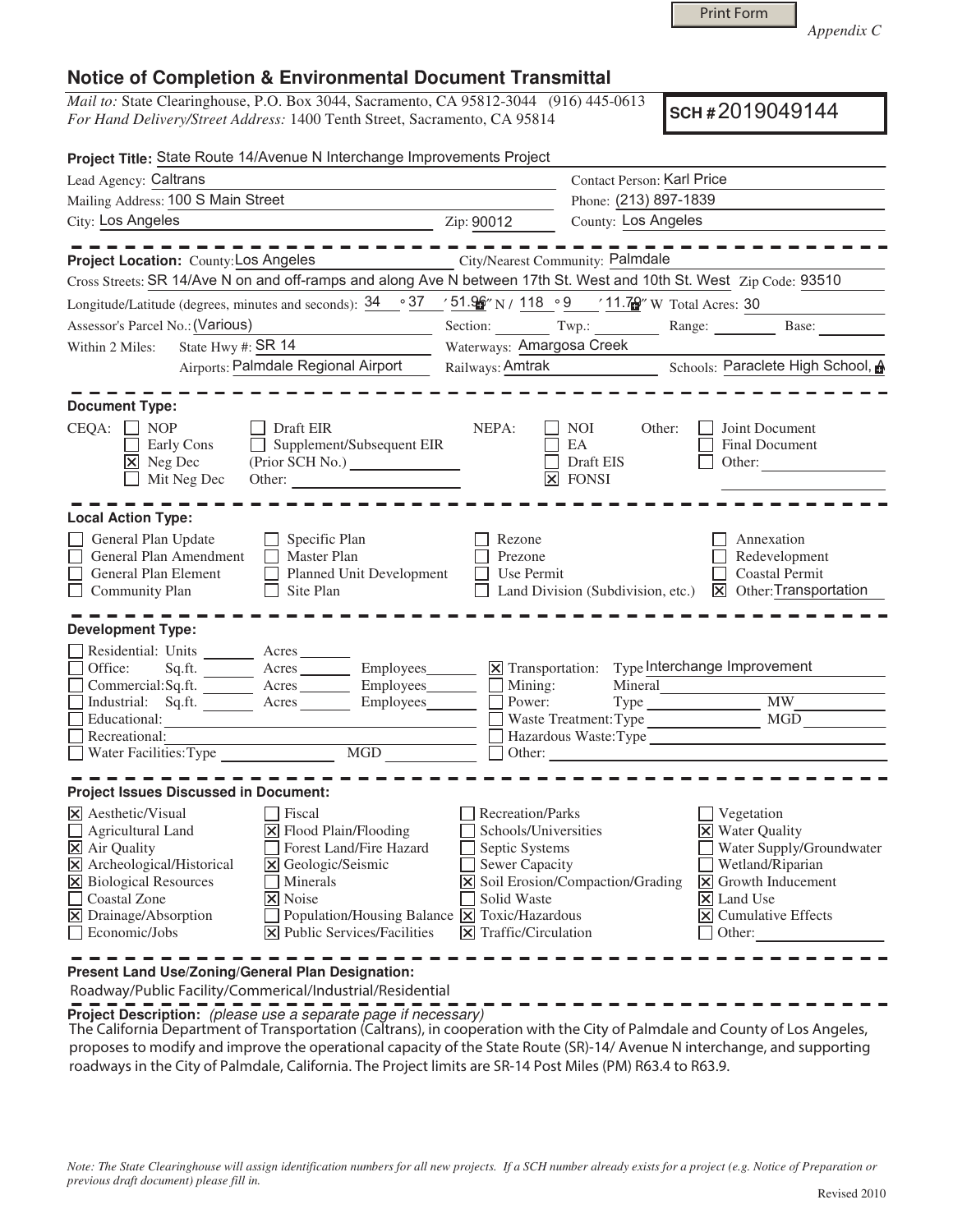*Appendix C* 

## **Notice of Completion & Environmental Document Transmittal**

*Mail to:* State Clearinghouse, P.O. Box 3044, Sacramento, CA 95812-3044 (916) 445-0613 *For Hand Delivery/Street Address:* 1400 Tenth Street, Sacramento, CA 95814

**SCH #** 2019049144

| Project Title: State Route 14/Avenue N Interchange Improvements Project                                                                                                                                                                                                                                                                                                                                                                           |                                                                                                                                                                |                                                                                                                                                                                                             |  |
|---------------------------------------------------------------------------------------------------------------------------------------------------------------------------------------------------------------------------------------------------------------------------------------------------------------------------------------------------------------------------------------------------------------------------------------------------|----------------------------------------------------------------------------------------------------------------------------------------------------------------|-------------------------------------------------------------------------------------------------------------------------------------------------------------------------------------------------------------|--|
| Lead Agency: Caltrans                                                                                                                                                                                                                                                                                                                                                                                                                             |                                                                                                                                                                | <b>Contact Person: Karl Price</b>                                                                                                                                                                           |  |
| Mailing Address: 100 S Main Street                                                                                                                                                                                                                                                                                                                                                                                                                | Phone: (213) 897-1839                                                                                                                                          |                                                                                                                                                                                                             |  |
| City: Los Angeles                                                                                                                                                                                                                                                                                                                                                                                                                                 | County: Los Angeles<br>Zip: 90012                                                                                                                              |                                                                                                                                                                                                             |  |
|                                                                                                                                                                                                                                                                                                                                                                                                                                                   |                                                                                                                                                                |                                                                                                                                                                                                             |  |
| Project Location: County: Los Angeles                                                                                                                                                                                                                                                                                                                                                                                                             | City/Nearest Community: Palmdale                                                                                                                               |                                                                                                                                                                                                             |  |
| Cross Streets: SR 14/Ave N on and off-ramps and along Ave N between 17th St. West and 10th St. West Zip Code: 93510                                                                                                                                                                                                                                                                                                                               |                                                                                                                                                                |                                                                                                                                                                                                             |  |
| Longitude/Latitude (degrees, minutes and seconds): $34 \cdot 37 \cdot 51.96$ N / $118 \cdot 9 \cdot 11.79$ W Total Acres: 30                                                                                                                                                                                                                                                                                                                      |                                                                                                                                                                |                                                                                                                                                                                                             |  |
| Assessor's Parcel No.: (Various)<br>the control of the control of the control of                                                                                                                                                                                                                                                                                                                                                                  | Section: Twp.: Range: Base:                                                                                                                                    |                                                                                                                                                                                                             |  |
| State Hwy #: $\frac{\text{SR } 14}{}$<br>Within 2 Miles:                                                                                                                                                                                                                                                                                                                                                                                          | Waterways: Amargosa Creek                                                                                                                                      |                                                                                                                                                                                                             |  |
| Airports: Palmdale Regional Airport                                                                                                                                                                                                                                                                                                                                                                                                               | Railways: Amtrak Schools: Paraclete High School, A                                                                                                             |                                                                                                                                                                                                             |  |
| <b>Document Type:</b>                                                                                                                                                                                                                                                                                                                                                                                                                             |                                                                                                                                                                |                                                                                                                                                                                                             |  |
| $CEQA: \Box NOP$<br>Draft EIR<br>Supplement/Subsequent EIR<br>Early Cons<br>X Neg Dec<br>$\Box$ Mit Neg Dec<br>Other:                                                                                                                                                                                                                                                                                                                             | NEPA:<br>$\overline{\phantom{a}}$ NOI<br>Other:<br>EA<br>Draft EIS<br>$\boxtimes$ FONSI                                                                        | Joint Document<br>Final Document<br>Other:                                                                                                                                                                  |  |
| <b>Local Action Type:</b>                                                                                                                                                                                                                                                                                                                                                                                                                         |                                                                                                                                                                |                                                                                                                                                                                                             |  |
| General Plan Update<br>$\Box$ Specific Plan<br>Master Plan<br>General Plan Amendment<br>Planned Unit Development<br>General Plan Element<br>Community Plan<br>$\Box$<br>Site Plan<br><b>Development Type:</b>                                                                                                                                                                                                                                     | Rezone<br>Prezone<br>Use Permit<br>Land Division (Subdivision, etc.)                                                                                           | Annexation<br>Redevelopment<br><b>Coastal Permit</b><br>$\vert\mathbf{X}\vert$ Other: Transportation                                                                                                        |  |
| Residential: Units ________ Acres _______                                                                                                                                                                                                                                                                                                                                                                                                         |                                                                                                                                                                |                                                                                                                                                                                                             |  |
| Sq.ft. __________ Acres ___________ Employees________<br>Office:                                                                                                                                                                                                                                                                                                                                                                                  | X Transportation: Type Interchange Improvement                                                                                                                 |                                                                                                                                                                                                             |  |
| $Commercial:Sq.fit.$ $\overline{\qquad}$ Acres $\overline{\qquad}$ Employees $\overline{\qquad}$ Mining:                                                                                                                                                                                                                                                                                                                                          |                                                                                                                                                                |                                                                                                                                                                                                             |  |
| Industrial: Sq.ft. ________ Acres ________ Employees _______ __ Power:                                                                                                                                                                                                                                                                                                                                                                            |                                                                                                                                                                |                                                                                                                                                                                                             |  |
|                                                                                                                                                                                                                                                                                                                                                                                                                                                   | Waste Treatment: Type                                                                                                                                          | MGD                                                                                                                                                                                                         |  |
|                                                                                                                                                                                                                                                                                                                                                                                                                                                   |                                                                                                                                                                |                                                                                                                                                                                                             |  |
|                                                                                                                                                                                                                                                                                                                                                                                                                                                   |                                                                                                                                                                |                                                                                                                                                                                                             |  |
| <b>Project Issues Discussed in Document:</b>                                                                                                                                                                                                                                                                                                                                                                                                      |                                                                                                                                                                |                                                                                                                                                                                                             |  |
| $ \mathsf{X} $ Aesthetic/Visual<br>$ $ Fiscal<br>$\boxtimes$ Flood Plain/Flooding<br>$\Box$ Agricultural Land<br>X Air Quality<br>Forest Land/Fire Hazard<br>X Archeological/Historical<br>X Geologic/Seismic<br>X Biological Resources<br>Minerals<br><b>Coastal Zone</b><br>X Noise<br>Drainage/Absorption<br>Population/Housing Balance $\boxed{\mathsf{x}}$ Toxic/Hazardous<br>区<br><b>Public Services/Facilities</b><br>Economic/Jobs<br>lхl | Recreation/Parks<br>Schools/Universities<br>Septic Systems<br>Sewer Capacity<br>X Soil Erosion/Compaction/Grading<br>Solid Waste<br>Traffic/Circulation<br>IXI | Vegetation<br><b>X</b> Water Quality<br>Water Supply/Groundwater<br>Wetland/Riparian<br>Growth Inducement<br>$\mathsf{X}$<br>$\overline{\mathsf{x}}$ Land Use<br><b>Cumulative Effects</b><br> × <br>Other: |  |

**Present Land Use/Zoning/General Plan Designation:**

Roadway/Public Facility/Commerical/Industrial/Residential

**Project Description:** (please use a separate page if necessary)

 The California Department of Transportation (Caltrans), in cooperation with the City of Palmdale and County of Los Angeles, proposes to modify and improve the operational capacity of the State Route (SR)-14/ Avenue N interchange, and supporting roadways in the City of Palmdale, California. The Project limits are SR-14 Post Miles (PM) R63.4 to R63.9.